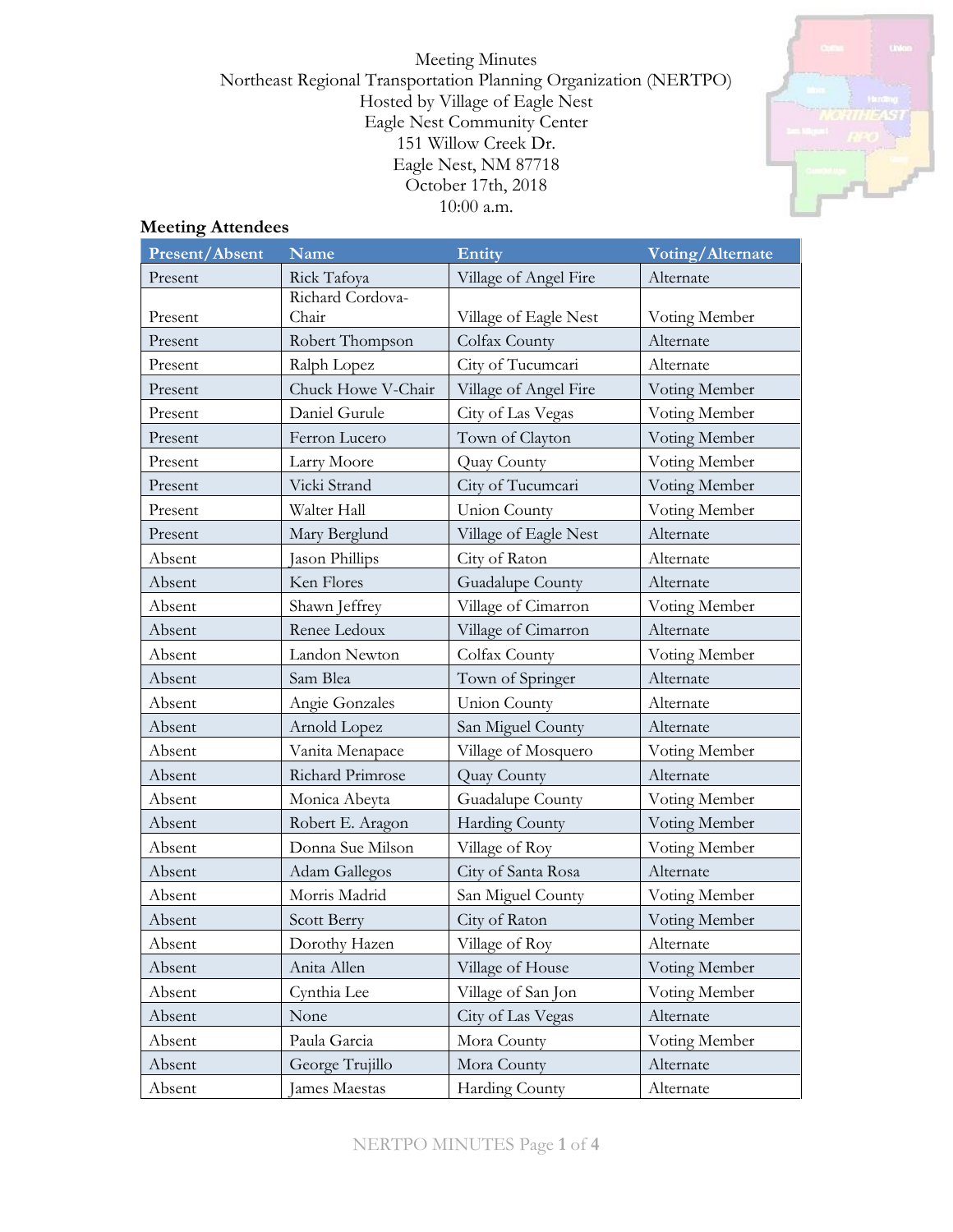Meeting Minutes Northeast Regional Transportation Planning Organization (NERTPO) Hosted by Village of Eagle Nest Eagle Nest Community Center 151 Willow Creek Dr. Eagle Nest, NM 87718 October 17th, 2018 10:00 a.m.



# **Meeting Attendees**

| <b>Present/Absent</b> | <b>Name</b>        | Entity                | Voting/Alternate |
|-----------------------|--------------------|-----------------------|------------------|
| Present               | Rick Tafoya        | Village of Angel Fire | Alternate        |
|                       | Richard Cordova-   |                       |                  |
| Present               | Chair              | Village of Eagle Nest | Voting Member    |
| Present               | Robert Thompson    | Colfax County         | Alternate        |
| Present               | Ralph Lopez        | City of Tucumcari     | Alternate        |
| Present               | Chuck Howe V-Chair | Village of Angel Fire | Voting Member    |
| Present               | Daniel Gurule      | City of Las Vegas     | Voting Member    |
| Present               | Ferron Lucero      | Town of Clayton       | Voting Member    |
| Present               | Larry Moore        | Quay County           | Voting Member    |
| Present               | Vicki Strand       | City of Tucumcari     | Voting Member    |
| Present               | Walter Hall        | <b>Union County</b>   | Voting Member    |
| Present               | Mary Berglund      | Village of Eagle Nest | Alternate        |
| Absent                | Jason Phillips     | City of Raton         | Alternate        |
| Absent                | Ken Flores         | Guadalupe County      | Alternate        |
| Absent                | Shawn Jeffrey      | Village of Cimarron   | Voting Member    |
| Absent                | Renee Ledoux       | Village of Cimarron   | Alternate        |
| Absent                | Landon Newton      | Colfax County         | Voting Member    |
| Absent                | Sam Blea           | Town of Springer      | Alternate        |
| Absent                | Angie Gonzales     | <b>Union County</b>   | Alternate        |
| Absent                | Arnold Lopez       | San Miguel County     | Alternate        |
| Absent                | Vanita Menapace    | Village of Mosquero   | Voting Member    |
| Absent                | Richard Primrose   | Quay County           | Alternate        |
| Absent                | Monica Abeyta      | Guadalupe County      | Voting Member    |
| Absent                | Robert E. Aragon   | Harding County        | Voting Member    |
| Absent                | Donna Sue Milson   | Village of Roy        | Voting Member    |
| Absent                | Adam Gallegos      | City of Santa Rosa    | Alternate        |
| Absent                | Morris Madrid      | San Miguel County     | Voting Member    |
| Absent                | Scott Berry        | City of Raton         | Voting Member    |
| Absent                | Dorothy Hazen      | Village of Roy        | Alternate        |
| Absent                | Anita Allen        | Village of House      | Voting Member    |
| Absent                | Cynthia Lee        | Village of San Jon    | Voting Member    |
| Absent                | None               | City of Las Vegas     | Alternate        |
| Absent                | Paula Garcia       | Mora County           | Voting Member    |
| Absent                | George Trujillo    | Mora County           | Alternate        |
| Absent                | James Maestas      | <b>Harding County</b> | Alternate        |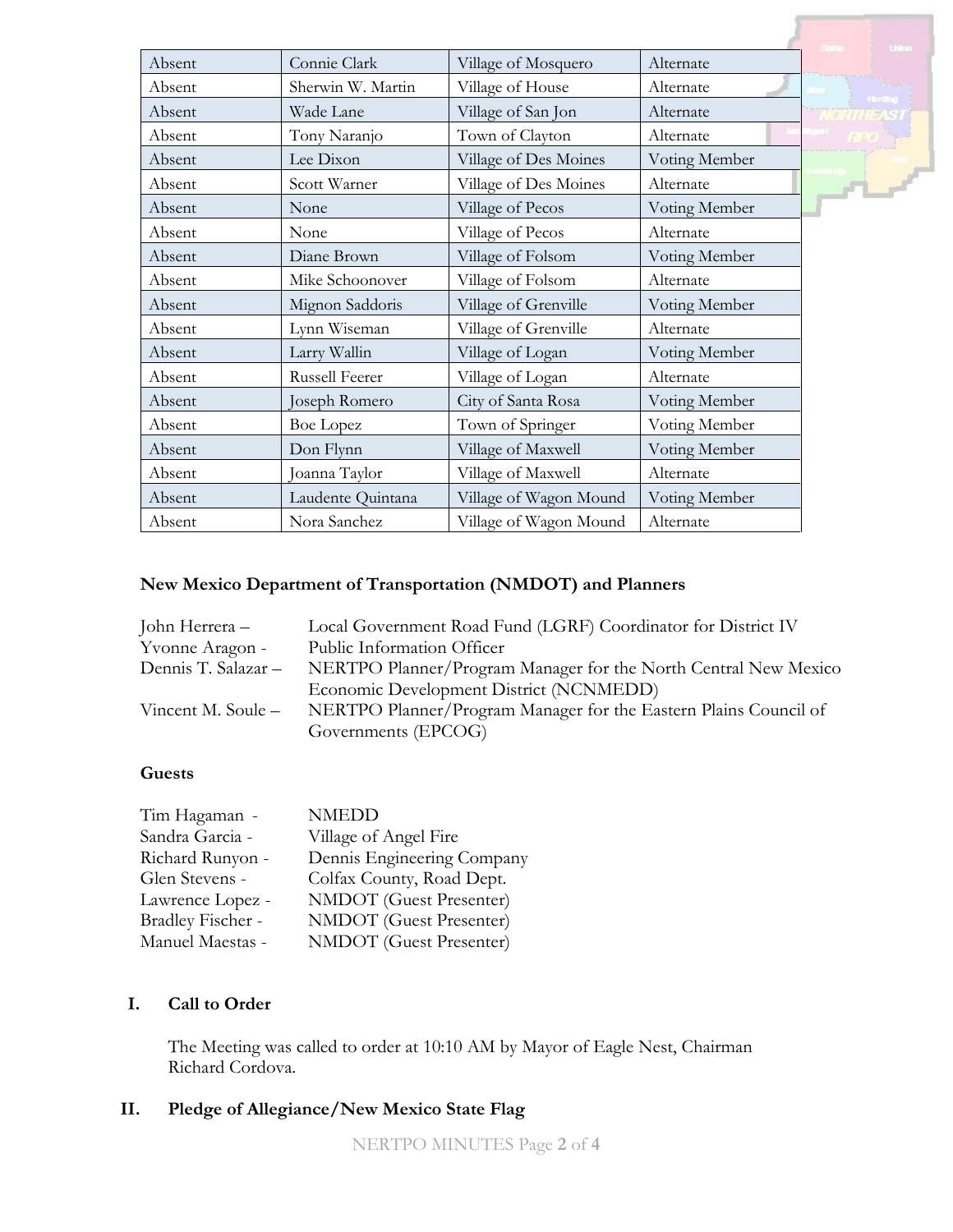|        |                   |                        |               | <b>United</b>             |
|--------|-------------------|------------------------|---------------|---------------------------|
| Absent | Connie Clark      | Village of Mosquero    | Alternate     |                           |
| Absent | Sherwin W. Martin | Village of House       | Alternate     | <b>Hondrig</b>            |
| Absent | Wade Lane         | Village of San Jon     | Alternate     |                           |
| Absent | Tony Naranjo      | Town of Clayton        | Alternate     |                           |
| Absent | Lee Dixon         | Village of Des Moines  | Voting Member |                           |
| Absent | Scott Warner      | Village of Des Moines  | Alternate     | $\mathbf{F}$ $\mathbf{F}$ |
| Absent | None              | Village of Pecos       | Voting Member |                           |
| Absent | None              | Village of Pecos       | Alternate     |                           |
| Absent | Diane Brown       | Village of Folsom      | Voting Member |                           |
| Absent | Mike Schoonover   | Village of Folsom      | Alternate     |                           |
| Absent | Mignon Saddoris   | Village of Grenville   | Voting Member |                           |
| Absent | Lynn Wiseman      | Village of Grenville   | Alternate     |                           |
| Absent | Larry Wallin      | Village of Logan       | Voting Member |                           |
| Absent | Russell Feerer    | Village of Logan       | Alternate     |                           |
| Absent | Joseph Romero     | City of Santa Rosa     | Voting Member |                           |
| Absent | <b>Boe Lopez</b>  | Town of Springer       | Voting Member |                           |
| Absent | Don Flynn         | Village of Maxwell     | Voting Member |                           |
| Absent | Joanna Taylor     | Village of Maxwell     | Alternate     |                           |
| Absent | Laudente Quintana | Village of Wagon Mound | Voting Member |                           |
| Absent | Nora Sanchez      | Village of Wagon Mound | Alternate     |                           |

# **New Mexico Department of Transportation (NMDOT) and Planners**

| Local Government Road Fund (LGRF) Coordinator for District IV    |
|------------------------------------------------------------------|
| Public Information Officer                                       |
| NERTPO Planner/Program Manager for the North Central New Mexico  |
| Economic Development District (NCNMEDD)                          |
| NERTPO Planner/Program Manager for the Eastern Plains Council of |
| Governments (EPCOG)                                              |
|                                                                  |

## **Guests**

| Tim Hagaman -     | <b>NMEDD</b>                   |
|-------------------|--------------------------------|
| Sandra Garcia -   | Village of Angel Fire          |
| Richard Runyon -  | Dennis Engineering Company     |
| Glen Stevens -    | Colfax County, Road Dept.      |
| Lawrence Lopez -  | <b>NMDOT</b> (Guest Presenter) |
| Bradley Fischer - | NMDOT (Guest Presenter)        |
| Manuel Maestas -  | NMDOT (Guest Presenter)        |

### **I. Call to Order**

The Meeting was called to order at 10:10 AM by Mayor of Eagle Nest, Chairman Richard Cordova.

# **II. Pledge of Allegiance/New Mexico State Flag**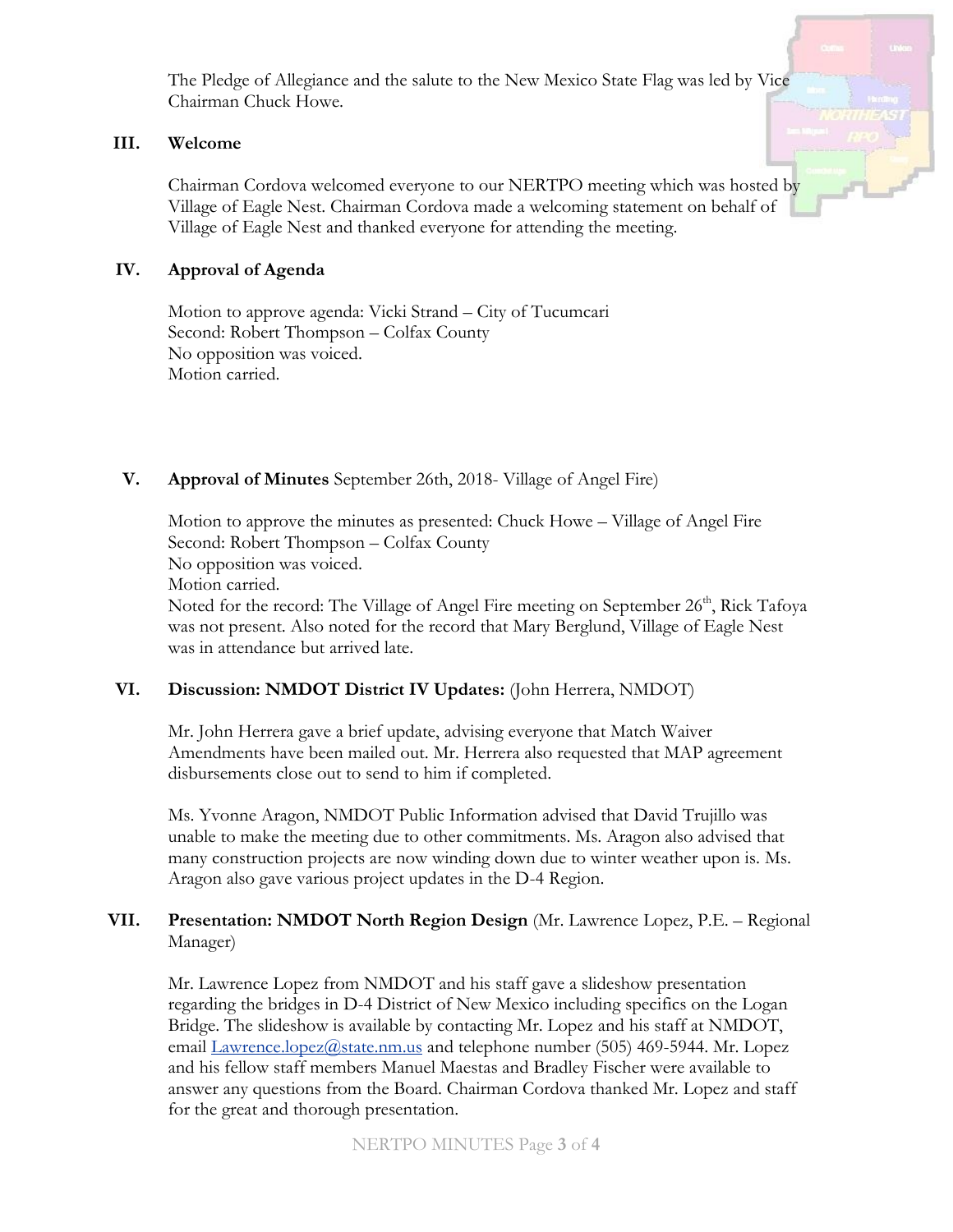The Pledge of Allegiance and the salute to the New Mexico State Flag was led by Vice Chairman Chuck Howe.

#### **III. Welcome**

Chairman Cordova welcomed everyone to our NERTPO meeting which was hosted by Village of Eagle Nest. Chairman Cordova made a welcoming statement on behalf of Village of Eagle Nest and thanked everyone for attending the meeting.

## **IV. Approval of Agenda**

Motion to approve agenda: Vicki Strand – City of Tucumcari Second: Robert Thompson – Colfax County No opposition was voiced. Motion carried.

# **V. Approval of Minutes** September 26th, 2018- Village of Angel Fire)

Motion to approve the minutes as presented: Chuck Howe – Village of Angel Fire Second: Robert Thompson – Colfax County No opposition was voiced. Motion carried. Noted for the record: The Village of Angel Fire meeting on September 26<sup>th</sup>, Rick Tafoya was not present. Also noted for the record that Mary Berglund, Village of Eagle Nest was in attendance but arrived late.

### **VI. Discussion: NMDOT District IV Updates:** (John Herrera, NMDOT)

Mr. John Herrera gave a brief update, advising everyone that Match Waiver Amendments have been mailed out. Mr. Herrera also requested that MAP agreement disbursements close out to send to him if completed.

Ms. Yvonne Aragon, NMDOT Public Information advised that David Trujillo was unable to make the meeting due to other commitments. Ms. Aragon also advised that many construction projects are now winding down due to winter weather upon is. Ms. Aragon also gave various project updates in the D-4 Region.

# **VII. Presentation: NMDOT North Region Design** (Mr. Lawrence Lopez, P.E. – Regional Manager)

Mr. Lawrence Lopez from NMDOT and his staff gave a slideshow presentation regarding the bridges in D-4 District of New Mexico including specifics on the Logan Bridge. The slideshow is available by contacting Mr. Lopez and his staff at NMDOT, email [Lawrence.lopez@state.nm.us](mailto:Lawrence.lopez@state.nm.us) and telephone number (505) 469-5944. Mr. Lopez and his fellow staff members Manuel Maestas and Bradley Fischer were available to answer any questions from the Board. Chairman Cordova thanked Mr. Lopez and staff for the great and thorough presentation.